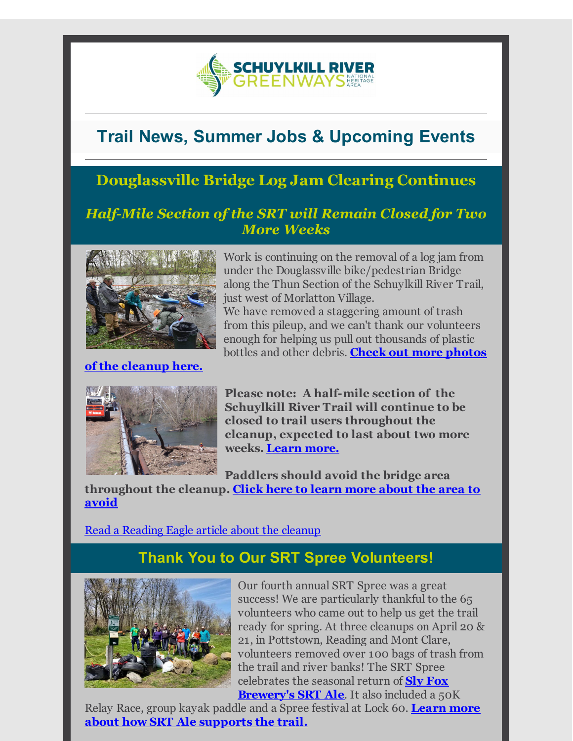

# **Trail News, Summer Jobs & Upcoming Events**

# **Douglassville Bridge Log Jam Clearing Continues**

#### *Half-Mile Section of the SRT will Remain Closed for Two More Weeks*



#### **of the [cleanup](http://r20.rs6.net/tn.jsp?f=0013j5YWQUoNsP1Qy3lMhWMi2uIXeFAy5lC04jldqCuZziU4qXnxjssi1WE3sjeXnc8Ngu3s18dAmXh2iU9daEzh_eILKFob_FJdjdIxSMJtLpn7KGkj0s-AImS_xVtOqANbatsWCd2poG-B_vmASXY56JKFaZWzJphacWswOPpoGxkPFLCuZnJnhX8GpqbvPUQx5x5C00A5BfQzVgpnZrZXF3IErQ7-nDY00egHEjaBaA=&c=&ch=) here.**

Work is continuing on the removal of a log jam from under the Douglassville bike/pedestrian Bridge along the Thun Section of the Schuylkill River Trail, just west of Morlatton Village.

We have removed a staggering amount of trash from this pileup, and we can't thank our volunteers enough for helping us pull out thousands of plastic bottles and other debris. **Check out more photos**



**Please note: A half-mile section of the Schuylkill River Trail will continue to be closed to trail users throughout the cleanup, expected to last about two more weeks. [Learn](http://r20.rs6.net/tn.jsp?f=0013j5YWQUoNsP1Qy3lMhWMi2uIXeFAy5lC04jldqCuZziU4qXnxjssi8-thmcdFQ8sbYZkMFVQcLlBvGp0QYPlt-DNiZ9u_SoqwxLJ_FiqerbiL1KbjjjWgW9bwHijpQBXjdXIZqp5OXE0IskhwlEXkeBUkDVQmBw-3vpr9HcFmzQk6ySsDKmkauAG4vFZ_1AUsV-7g01oXH1SvA-Dou6O4w-mt1cdci20istjXHlaSY2gN8TWXHaQS1M7JNNF6sVKIyyxrFbd_BJv6mEwVdvKmm-Jx7MnnCZhT3RFsn_4W7I_dYFwhtc39qaCubZm0Onp&c=&ch=) more.**

**Paddlers should avoid the bridge area**

**[throughout](http://r20.rs6.net/tn.jsp?f=0013j5YWQUoNsP1Qy3lMhWMi2uIXeFAy5lC04jldqCuZziU4qXnxjssi8-thmcdFQ8shq3gRosuQ0YRMzvw3Syuhs1om3ZyjlViimo_rYS_ElxwmItXxdHakAyjcLsj2Gv2dPDNqogx6zmL3kfZYkXL1bu9sZvYYBHanJUh2Tzzvp8o19pm9e7YX5dkd8wY1mq8j67ZzcKXjeJ-p2jia4g5Pg==&c=&ch=) the cleanup. Click here to learn more about the area to avoid**

Read a [Reading](http://r20.rs6.net/tn.jsp?f=0013j5YWQUoNsP1Qy3lMhWMi2uIXeFAy5lC04jldqCuZziU4qXnxjssi1WE3sjeXnc83Jz_cMwi6a1VPUHGZDdihePU5VLZZTV7qYFhxjM1ag4wiEwLc0IJdScDhyaM3gN0X_Llu4AwZ5z9XTEjZ7cEDmUIYT9bKEidwCz2UAXxYUfqCFutoNqKD2FgiQbg4yW9tra9rzTnjhKOH9wWvdZwUuYbUOpqHrXJ7LRfBQgOE8ja3giGhOqA9bFQAh-LmxFU&c=&ch=) Eagle article about the cleanup

# **Thank You to Our SRT Spree Volunteers!**



Our fourth annual SRT Spree was a great success! We are particularly thankful to the 65 volunteers who came out to help us get the trail ready for spring. At three cleanups on April 20 & 21, in Pottstown, Reading and Mont Clare, volunteers removed over 100 bags of trash from the trail and river banks! The SRT Spree celebrates the seasonal return of **Sly Fox [Brewery's](http://r20.rs6.net/tn.jsp?f=0013j5YWQUoNsP1Qy3lMhWMi2uIXeFAy5lC04jldqCuZziU4qXnxjssi7XO_mMXLeMx1JghG7RYbUe3GV50JIGonmXsq2B3AJHG8w8a1xceNkk3jOjnje5wlatfQFJ_v3doKF9p3luZbznOfBABmY4tbfkZnB7ycHB6qFa6qFfgecI=&c=&ch=) SRT Ale**. It also included a 50K

Relay Race, group kayak paddle and a Spree festival at Lock 60. **Learn more about how SRT Ale [supports](http://r20.rs6.net/tn.jsp?f=0013j5YWQUoNsP1Qy3lMhWMi2uIXeFAy5lC04jldqCuZziU4qXnxjssi3t2ZTt2DTcg7IV6IJDMZe5KiVdyCZo70vU2cBYB-NiRZaXFJsjJw_V36PI4bOgZb4_s0GLSRQmbaVrBLiJr7hHG19a7KS7Zl6HKbJKTfxJrWzlMyLcOLeTOxNAOLGcIczGjE5Vk5SKiPrPlTWIIMgs=&c=&ch=) the trail.**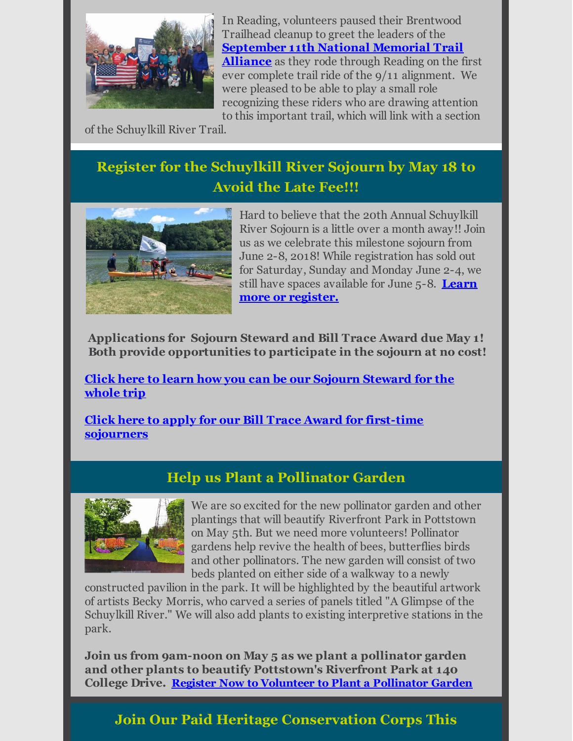

In Reading, volunteers paused their Brentwood Trailhead cleanup to greet the leaders of the **[September](http://r20.rs6.net/tn.jsp?f=0013j5YWQUoNsP1Qy3lMhWMi2uIXeFAy5lC04jldqCuZziU4qXnxjssi1WE3sjeXnc8zwO-gIO82tSySI_iFemXpRJGNujwH5ZdYU9uCqE-7xx7ziS0gR_k17Pwc5vIYi8jnhpsAwBloAZG3RpKE7p0lsL9QaLX8fiLpJpnh8sQtpE=&c=&ch=) 11th National Memorial Trail Alliance** as they rode through Reading on the first ever complete trail ride of the 9/11 alignment. We were pleased to be able to play a small role recognizing these riders who are drawing attention to this important trail, which will link with a section

of the Schuylkill River Trail.

# **Register for the Schuylkill River Sojourn by May 18 to Avoid the Late Fee!!!**



Hard to believe that the 20th Annual Schuylkill River Sojourn is a little over a month away!! Join us as we celebrate this milestone sojourn from June 2-8, 2018! While registration has sold out for Saturday, Sunday and Monday June 2-4, we still have spaces available for June 5-8. **Learn more or [register.](http://r20.rs6.net/tn.jsp?f=0013j5YWQUoNsP1Qy3lMhWMi2uIXeFAy5lC04jldqCuZziU4qXnxjssi7eaV72xWC4RJqUzUf9UwjM5RZOA2k-WLe018-lfdvuM5LrFhbRAmnFE7RT2G77ZpNxM3EwcxNyogIjLzLk0IdBlxd1c5FLMIAw3D4wiYScx7XOCjPYcDF0oZCoYnkERm4etZEpLh_4pgvNVfad28oI=&c=&ch=)**

**Applications for Sojourn Steward and Bill Trace Award due May 1! Both provide opportunities to participate in the sojourn at no cost!**

**Click here to learn how you can be our Sojourn [Steward](http://r20.rs6.net/tn.jsp?f=0013j5YWQUoNsP1Qy3lMhWMi2uIXeFAy5lC04jldqCuZziU4qXnxjssiwLqFHMx_RtuIXh5ZWfqpNe4fGW_mqm01kOQUcfOaquIJw6iWwN2JdIU_aB3u5JCS1NgAWoDPcaJgLHTr5VrCxIvFbWyhUDynLwX1s6srsmI6HTgaHufrWMIP6n0TKIxAH1-Y81PzcY1QQVCD_z00zv2V6vFBrXadA==&c=&ch=) for the whole trip**

**Click here to apply for our Bill Trace Award for first-time [sojourners](http://r20.rs6.net/tn.jsp?f=0013j5YWQUoNsP1Qy3lMhWMi2uIXeFAy5lC04jldqCuZziU4qXnxjssiwLqFHMx_RtuZ4Uq3F7vw0mbsTHkInJq31hnXdMblq920NRuK2GcV2TxB38hHyo-pRCF9OeCWvhSshoxyw4sH7sg0zfJhC_JeKM-2Pbj7m8mu-T5ekI4tIMNKUZXnYy6jWnAabp3QuKu&c=&ch=)**

#### **Help us Plant a Pollinator Garden**



We are so excited for the new pollinator garden and other plantings that will beautify Riverfront Park in Pottstown on May 5th. But we need more volunteers! Pollinator gardens help revive the health of bees, butterflies birds and other pollinators. The new garden will consist of two beds planted on either side of a walkway to a newly

constructed pavilion in the park. It will be highlighted by the beautiful artwork of artists Becky Morris, who carved a series of panels titled "A Glimpse of the Schuylkill River." We will also add plants to existing interpretive stations in the park.

**Join us from 9am-noon on May 5 as we plant a pollinator garden and other plants to beautify Pottstown's Riverfront Park at 140 College Drive. Register Now to Volunteer to Plant a [Pollinator](http://r20.rs6.net/tn.jsp?f=0013j5YWQUoNsP1Qy3lMhWMi2uIXeFAy5lC04jldqCuZziU4qXnxjssi8-thmcdFQ8shRgKD2OaWLvf9TgSs8HNf_1jxmCe0GaQ9yYpvpZdV-E4HwnvWy1bwpSwaOcvjyXbbg8RtM0gnnwXO2FqW8bnk1nGNC5nUT6dCdKRlk23gS8ccioME23pHLp5ryoXEqH17OTx_U-d47ETZdSeTYzxzJNJscJXKH3H5R8R91ZK_4cXRgyAfScdwQfca2tZjEgfYoQ3s02jtECeqgL2KazwRrvAJJL_lcPr&c=&ch=) Garden**

### **Join Our Paid Heritage Conservation Corps This**